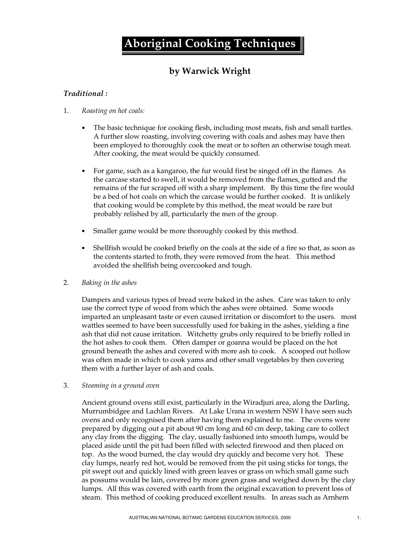# **Aboriginal Cooking Techniques**

## **by Warwick Wright**

### *Traditional :*

#### 1. *Roasting on hot coals:*

- The basic technique for cooking flesh, including most meats, fish and small turtles. A further slow roasting, involving covering with coals and ashes may have then been employed to thoroughly cook the meat or to soften an otherwise tough meat. After cooking, the meat would be quickly consumed.
- For game, such as a kangaroo, the fur would first be singed off in the flames. As the carcase started to swell, it would be removed from the flames, gutted and the remains of the fur scraped off with a sharp implement. By this time the fire would be a bed of hot coals on which the carcase would be further cooked. It is unlikely that cooking would be complete by this method, the meat would be rare but probably relished by all, particularly the men of the group.
- Smaller game would be more thoroughly cooked by this method.
- Shellfish would be cooked briefly on the coals at the side of a fire so that, as soon as the contents started to froth, they were removed from the heat. This method avoided the shellfish being overcooked and tough.

#### 2. *Baking in the ashes*

Dampers and various types of bread were baked in the ashes. Care was taken to only use the correct type of wood from which the ashes were obtained. Some woods imparted an unpleasant taste or even caused irritation or discomfort to the users. most wattles seemed to have been successfully used for baking in the ashes, yielding a fine ash that did not cause irritation. Witchetty grubs only required to be briefly rolled in the hot ashes to cook them. Often damper or goanna would be placed on the hot ground beneath the ashes and covered with more ash to cook. A scooped out hollow was often made in which to cook yams and other small vegetables by then covering them with a further layer of ash and coals.

#### 3. *Steaming in a ground oven*

Ancient ground ovens still exist, particularly in the Wiradjuri area, along the Darling, Murrumbidgee and Lachlan Rivers. At Lake Urana in western NSW I have seen such ovens and only recognised them after having them explained to me. The ovens were prepared by digging out a pit about 90 cm long and 60 cm deep, taking care to collect any clay from the digging. The clay, usually fashioned into smooth lumps, would be placed aside until the pit had been filled with selected firewood and then placed on top. As the wood burned, the clay would dry quickly and become very hot. These clay lumps, nearly red hot, would be removed from the pit using sticks for tongs, the pit swept out and quickly lined with green leaves or grass on which small game such as possums would be lain, covered by more green grass and weighed down by the clay lumps. All this was covered with earth from the original excavation to prevent loss of steam. This method of cooking produced excellent results. In areas such as Arnhem